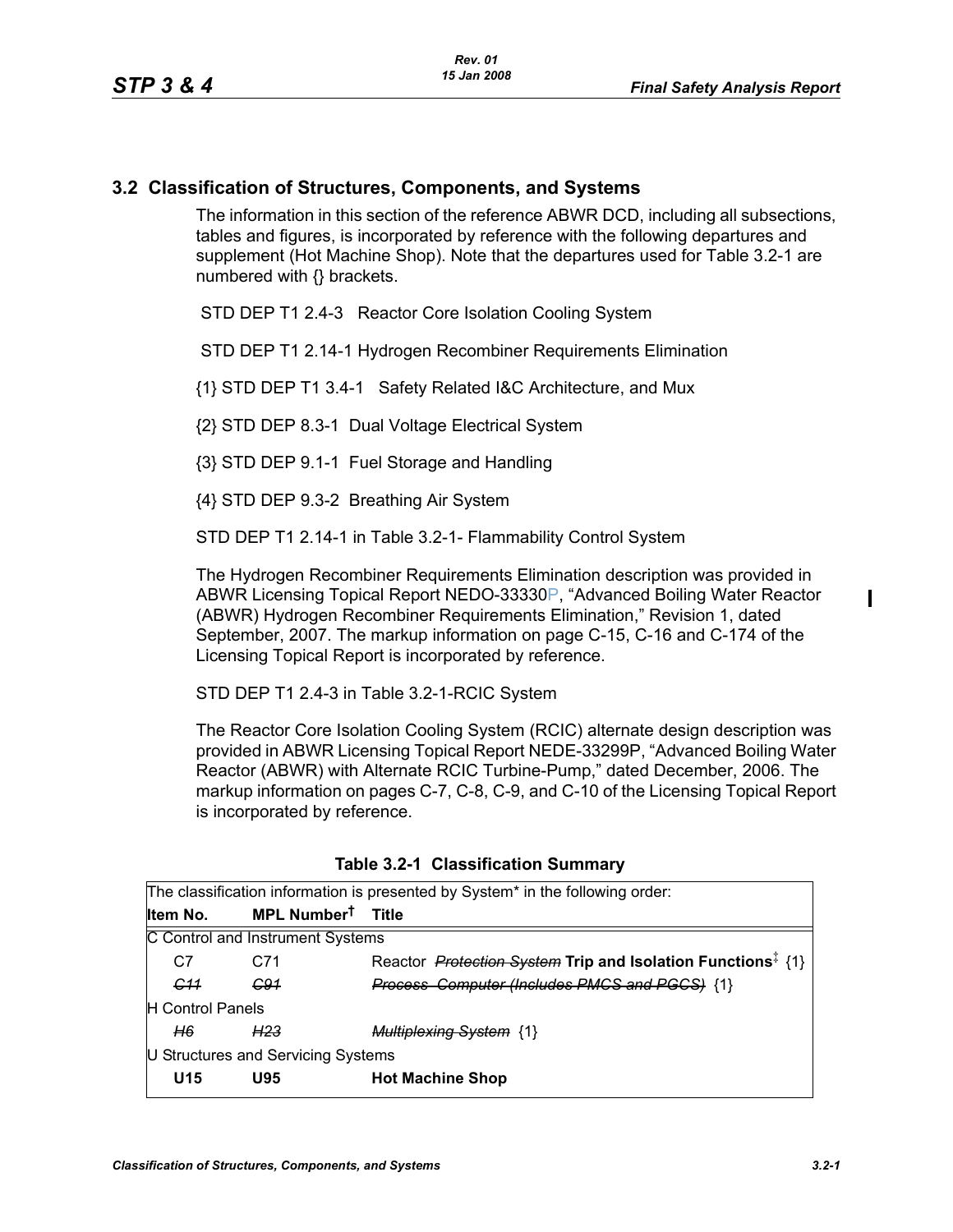## **3.2 Classification of Structures, Components, and Systems**

The information in this section of the reference ABWR DCD, including all subsections, tables and figures, is incorporated by reference with the following departures and supplement (Hot Machine Shop). Note that the departures used for Table 3.2-1 are numbered with {} brackets.

STD DEP T1 2.4-3 Reactor Core Isolation Cooling System

STD DEP T1 2.14-1 Hydrogen Recombiner Requirements Elimination

{1} STD DEP T1 3.4-1 Safety Related I&C Architecture, and Mux

{2} STD DEP 8.3-1 Dual Voltage Electrical System

{3} STD DEP 9.1-1 Fuel Storage and Handling

{4} STD DEP 9.3-2 Breathing Air System

STD DEP T1 2.14-1 in Table 3.2-1- Flammability Control System

The Hydrogen Recombiner Requirements Elimination description was provided in ABWR Licensing Topical Report NEDO-33330P, "Advanced Boiling Water Reactor (ABWR) Hydrogen Recombiner Requirements Elimination," Revision 1, dated September, 2007. The markup information on page C-15, C-16 and C-174 of the Licensing Topical Report is incorporated by reference.

STD DEP T1 2.4-3 in Table 3.2-1-RCIC System

The Reactor Core Isolation Cooling System (RCIC) alternate design description was provided in ABWR Licensing Topical Report NEDE-33299P, "Advanced Boiling Water Reactor (ABWR) with Alternate RCIC Turbine-Pump," dated December, 2006. The markup information on pages C-7, C-8, C-9, and C-10 of the Licensing Topical Report is incorporated by reference.

| The classification information is presented by System <sup>*</sup> in the following order: |                                  |                                                                                |  |  |  |  |
|--------------------------------------------------------------------------------------------|----------------------------------|--------------------------------------------------------------------------------|--|--|--|--|
| Item No.                                                                                   | MPL Number <sup>t</sup> Title    |                                                                                |  |  |  |  |
|                                                                                            | C Control and Instrument Systems |                                                                                |  |  |  |  |
| C7                                                                                         | C71                              | Reactor <i>Protection System</i> Trip and Isolation Functions <sup>‡</sup> {1} |  |  |  |  |
| <del>C11</del>                                                                             | <del>C91</del>                   | <b>Process Computer (Includes PMCS and PGCS) {1}</b>                           |  |  |  |  |
| H Control Panels                                                                           |                                  |                                                                                |  |  |  |  |
| H6                                                                                         | H <sub>23</sub>                  | <b>Multiplexing System {1}</b>                                                 |  |  |  |  |
| U Structures and Servicing Systems                                                         |                                  |                                                                                |  |  |  |  |
| U <sub>15</sub>                                                                            | U95                              | <b>Hot Machine Shop</b>                                                        |  |  |  |  |

|  | Table 3.2-1 Classification Summary |  |
|--|------------------------------------|--|
|--|------------------------------------|--|

П